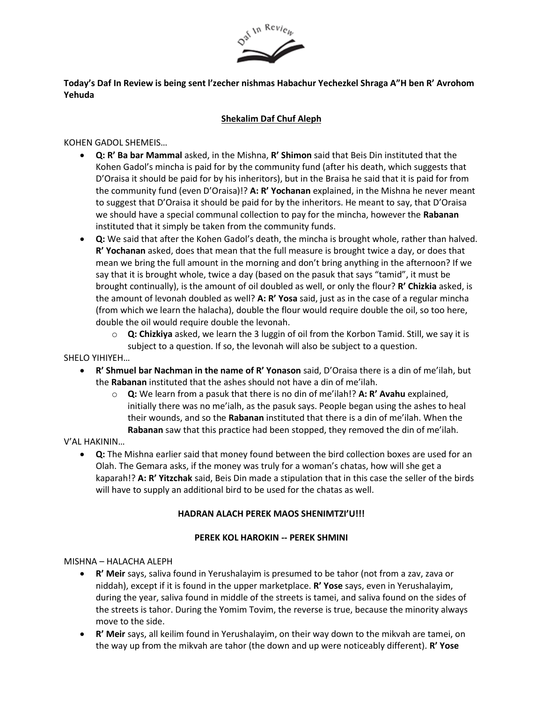

# **Today's Daf In Review is being sent l'zecher nishmas Habachur Yechezkel Shraga A"H ben R' Avrohom Yehuda**

# **Shekalim Daf Chuf Aleph**

## KOHEN GADOL SHEMEIS…

- **Q: R' Ba bar Mammal** asked, in the Mishna, **R' Shimon** said that Beis Din instituted that the Kohen Gadol's mincha is paid for by the community fund (after his death, which suggests that D'Oraisa it should be paid for by his inheritors), but in the Braisa he said that it is paid for from the community fund (even D'Oraisa)!? **A: R' Yochanan** explained, in the Mishna he never meant to suggest that D'Oraisa it should be paid for by the inheritors. He meant to say, that D'Oraisa we should have a special communal collection to pay for the mincha, however the **Rabanan** instituted that it simply be taken from the community funds.
- **Q:** We said that after the Kohen Gadol's death, the mincha is brought whole, rather than halved. **R' Yochanan** asked, does that mean that the full measure is brought twice a day, or does that mean we bring the full amount in the morning and don't bring anything in the afternoon? If we say that it is brought whole, twice a day (based on the pasuk that says "tamid", it must be brought continually), is the amount of oil doubled as well, or only the flour? **R' Chizkia** asked, is the amount of levonah doubled as well? **A: R' Yosa** said, just as in the case of a regular mincha (from which we learn the halacha), double the flour would require double the oil, so too here, double the oil would require double the levonah.
	- o **Q: Chizkiya** asked, we learn the 3 luggin of oil from the Korbon Tamid. Still, we say it is subject to a question. If so, the levonah will also be subject to a question.

# SHELO YIHIYEH…

- **R' Shmuel bar Nachman in the name of R' Yonason** said, D'Oraisa there is a din of me'ilah, but the **Rabanan** instituted that the ashes should not have a din of me'ilah.
	- o **Q:** We learn from a pasuk that there is no din of me'ilah!? **A: R' Avahu** explained, initially there was no me'ialh, as the pasuk says. People began using the ashes to heal their wounds, and so the **Rabanan** instituted that there is a din of me'ilah. When the **Rabanan** saw that this practice had been stopped, they removed the din of me'ilah.

#### V'AL HAKININ…

• **Q:** The Mishna earlier said that money found between the bird collection boxes are used for an Olah. The Gemara asks, if the money was truly for a woman's chatas, how will she get a kaparah!? **A: R' Yitzchak** said, Beis Din made a stipulation that in this case the seller of the birds will have to supply an additional bird to be used for the chatas as well.

#### **HADRAN ALACH PEREK MAOS SHENIMTZI'U!!!**

#### **PEREK KOL HAROKIN -- PEREK SHMINI**

#### MISHNA – HALACHA ALEPH

- **R' Meir** says, saliva found in Yerushalayim is presumed to be tahor (not from a zav, zava or niddah), except if it is found in the upper marketplace. **R' Yose** says, even in Yerushalayim, during the year, saliva found in middle of the streets is tamei, and saliva found on the sides of the streets is tahor. During the Yomim Tovim, the reverse is true, because the minority always move to the side.
- **R' Meir** says, all keilim found in Yerushalayim, on their way down to the mikvah are tamei, on the way up from the mikvah are tahor (the down and up were noticeably different). **R' Yose**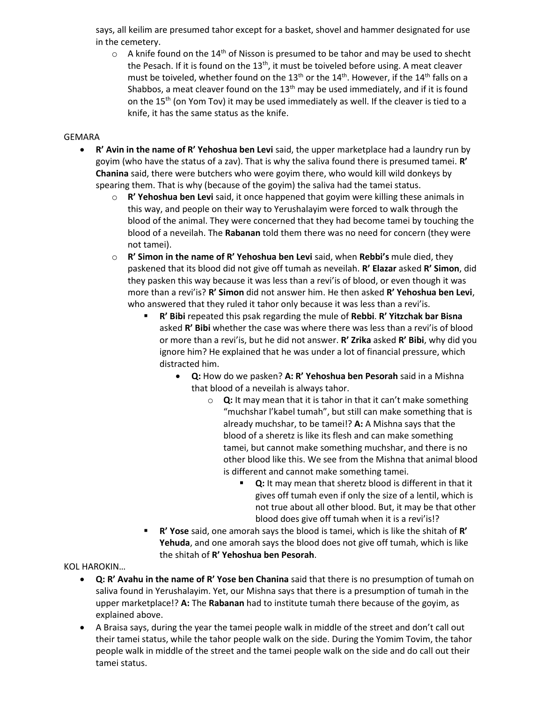says, all keilim are presumed tahor except for a basket, shovel and hammer designated for use in the cemetery.

 $\circ$  A knife found on the 14<sup>th</sup> of Nisson is presumed to be tahor and may be used to shecht the Pesach. If it is found on the 13<sup>th</sup>, it must be toiveled before using. A meat cleaver must be toiveled, whether found on the 13<sup>th</sup> or the 14<sup>th</sup>. However, if the 14<sup>th</sup> falls on a Shabbos, a meat cleaver found on the  $13<sup>th</sup>$  may be used immediately, and if it is found on the 15<sup>th</sup> (on Yom Tov) it may be used immediately as well. If the cleaver is tied to a knife, it has the same status as the knife.

#### GEMARA

- **R' Avin in the name of R' Yehoshua ben Levi** said, the upper marketplace had a laundry run by goyim (who have the status of a zav). That is why the saliva found there is presumed tamei. **R' Chanina** said, there were butchers who were goyim there, who would kill wild donkeys by spearing them. That is why (because of the goyim) the saliva had the tamei status.
	- o **R' Yehoshua ben Levi** said, it once happened that goyim were killing these animals in this way, and people on their way to Yerushalayim were forced to walk through the blood of the animal. They were concerned that they had become tamei by touching the blood of a neveilah. The **Rabanan** told them there was no need for concern (they were not tamei).
	- o **R' Simon in the name of R' Yehoshua ben Levi** said, when **Rebbi's** mule died, they paskened that its blood did not give off tumah as neveilah. **R' Elazar** asked **R' Simon**, did they pasken this way because it was less than a revi'is of blood, or even though it was more than a revi'is? **R' Simon** did not answer him. He then asked **R' Yehoshua ben Levi**, who answered that they ruled it tahor only because it was less than a revi'is.
		- **R' Bibi** repeated this psak regarding the mule of **Rebbi**. **R' Yitzchak bar Bisna** asked **R' Bibi** whether the case was where there was less than a revi'is of blood or more than a revi'is, but he did not answer. **R' Zrika** asked **R' Bibi**, why did you ignore him? He explained that he was under a lot of financial pressure, which distracted him.
			- **Q:** How do we pasken? **A: R' Yehoshua ben Pesorah** said in a Mishna that blood of a neveilah is always tahor.
				- o **Q:** It may mean that it is tahor in that it can't make something "muchshar l'kabel tumah", but still can make something that is already muchshar, to be tamei!? **A:** A Mishna says that the blood of a sheretz is like its flesh and can make something tamei, but cannot make something muchshar, and there is no other blood like this. We see from the Mishna that animal blood is different and cannot make something tamei.
					- **Q:** It may mean that sheretz blood is different in that it gives off tumah even if only the size of a lentil, which is not true about all other blood. But, it may be that other blood does give off tumah when it is a revi'is!?
		- **R' Yose** said, one amorah says the blood is tamei, which is like the shitah of **R' Yehuda**, and one amorah says the blood does not give off tumah, which is like the shitah of **R' Yehoshua ben Pesorah**.

KOL HAROKIN…

- **Q: R' Avahu in the name of R' Yose ben Chanina** said that there is no presumption of tumah on saliva found in Yerushalayim. Yet, our Mishna says that there is a presumption of tumah in the upper marketplace!? **A:** The **Rabanan** had to institute tumah there because of the goyim, as explained above.
- A Braisa says, during the year the tamei people walk in middle of the street and don't call out their tamei status, while the tahor people walk on the side. During the Yomim Tovim, the tahor people walk in middle of the street and the tamei people walk on the side and do call out their tamei status.